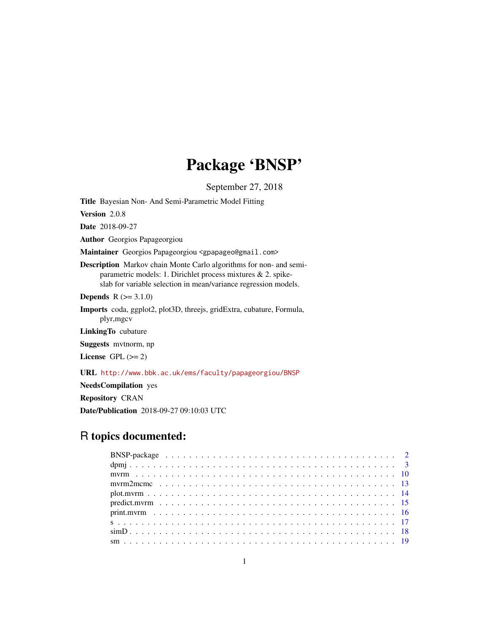# Package 'BNSP'

September 27, 2018

Title Bayesian Non- And Semi-Parametric Model Fitting

Version 2.0.8

Date 2018-09-27

Author Georgios Papageorgiou

Maintainer Georgios Papageorgiou <gpapageo@gmail.com>

Description Markov chain Monte Carlo algorithms for non- and semiparametric models: 1. Dirichlet process mixtures & 2. spikeslab for variable selection in mean/variance regression models.

**Depends**  $R (= 3.1.0)$ 

Imports coda, ggplot2, plot3D, threejs, gridExtra, cubature, Formula, plyr,mgcv

LinkingTo cubature

Suggests mvtnorm, np

License GPL  $(>= 2)$ 

URL <http://www.bbk.ac.uk/ems/faculty/papageorgiou/BNSP>

NeedsCompilation yes

Repository CRAN

Date/Publication 2018-09-27 09:10:03 UTC

# R topics documented: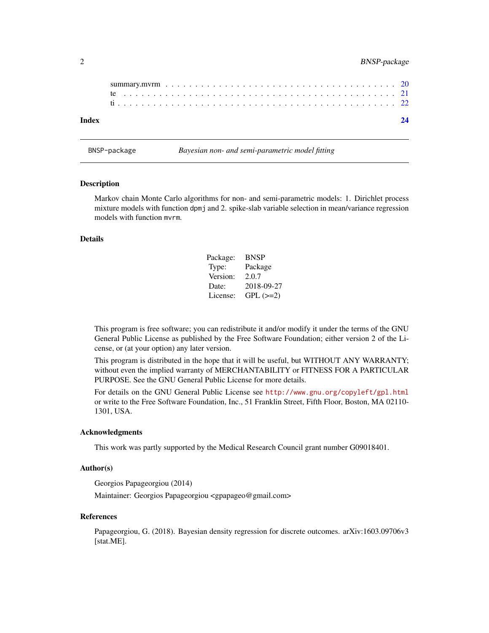<span id="page-1-0"></span>

| Index |  |  |  |  |  |  |  |  |  |  |  |  |  |  |  |  |  |  |  |  |  |  |
|-------|--|--|--|--|--|--|--|--|--|--|--|--|--|--|--|--|--|--|--|--|--|--|

BNSP-package *Bayesian non- and semi-parametric model fitting*

#### Description

Markov chain Monte Carlo algorithms for non- and semi-parametric models: 1. Dirichlet process mixture models with function dpmj and 2. spike-slab variable selection in mean/variance regression models with function mvrm.

### Details

| Package: | <b>BNSP</b> |
|----------|-------------|
| Type:    | Package     |
| Version: | 2.0.7       |
| Date:    | 2018-09-27  |
| License: | $GPL (=2)$  |

This program is free software; you can redistribute it and/or modify it under the terms of the GNU General Public License as published by the Free Software Foundation; either version 2 of the License, or (at your option) any later version.

This program is distributed in the hope that it will be useful, but WITHOUT ANY WARRANTY; without even the implied warranty of MERCHANTABILITY or FITNESS FOR A PARTICULAR PURPOSE. See the GNU General Public License for more details.

For details on the GNU General Public License see <http://www.gnu.org/copyleft/gpl.html> or write to the Free Software Foundation, Inc., 51 Franklin Street, Fifth Floor, Boston, MA 02110- 1301, USA.

#### Acknowledgments

This work was partly supported by the Medical Research Council grant number G09018401.

#### Author(s)

Georgios Papageorgiou (2014)

Maintainer: Georgios Papageorgiou <gpapageo@gmail.com>

#### References

Papageorgiou, G. (2018). Bayesian density regression for discrete outcomes. arXiv:1603.09706v3 [stat.ME].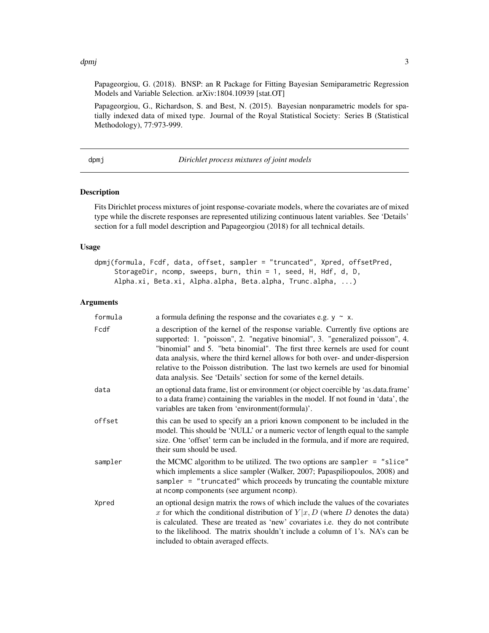#### <span id="page-2-0"></span>dpmj 3

Papageorgiou, G. (2018). BNSP: an R Package for Fitting Bayesian Semiparametric Regression Models and Variable Selection. arXiv:1804.10939 [stat.OT]

Papageorgiou, G., Richardson, S. and Best, N. (2015). Bayesian nonparametric models for spatially indexed data of mixed type. Journal of the Royal Statistical Society: Series B (Statistical Methodology), 77:973-999.

dpmj *Dirichlet process mixtures of joint models*

#### Description

Fits Dirichlet process mixtures of joint response-covariate models, where the covariates are of mixed type while the discrete responses are represented utilizing continuous latent variables. See 'Details' section for a full model description and Papageorgiou (2018) for all technical details.

#### Usage

```
dpmj(formula, Fcdf, data, offset, sampler = "truncated", Xpred, offsetPred,
     StorageDir, ncomp, sweeps, burn, thin = 1, seed, H, Hdf, d, D,
     Alpha.xi, Beta.xi, Alpha.alpha, Beta.alpha, Trunc.alpha, ...)
```

| formula | a formula defining the response and the covariates e.g. $y \sim x$ .                                                                                                                                                                                                                                                                                                                                                                                                                               |
|---------|----------------------------------------------------------------------------------------------------------------------------------------------------------------------------------------------------------------------------------------------------------------------------------------------------------------------------------------------------------------------------------------------------------------------------------------------------------------------------------------------------|
| Fcdf    | a description of the kernel of the response variable. Currently five options are<br>supported: 1. "poisson", 2. "negative binomial", 3. "generalized poisson", 4.<br>"binomial" and 5. "beta binomial". The first three kernels are used for count<br>data analysis, where the third kernel allows for both over- and under-dispersion<br>relative to the Poisson distribution. The last two kernels are used for binomial<br>data analysis. See 'Details' section for some of the kernel details. |
| data    | an optional data frame, list or environment (or object coercible by 'as.data.frame'<br>to a data frame) containing the variables in the model. If not found in 'data', the<br>variables are taken from 'environment(formula)'.                                                                                                                                                                                                                                                                     |
| offset  | this can be used to specify an a priori known component to be included in the<br>model. This should be 'NULL' or a numeric vector of length equal to the sample<br>size. One 'offset' term can be included in the formula, and if more are required,<br>their sum should be used.                                                                                                                                                                                                                  |
| sampler | the MCMC algorithm to be utilized. The two options are sampler $=$ "slice"<br>which implements a slice sampler (Walker, 2007; Papaspiliopoulos, 2008) and<br>sampler = "truncated" which proceeds by truncating the countable mixture<br>at ncomp components (see argument ncomp).                                                                                                                                                                                                                 |
| Xpred   | an optional design matrix the rows of which include the values of the covariates<br>x for which the conditional distribution of $Y x, D$ (where D denotes the data)<br>is calculated. These are treated as 'new' covariates i.e. they do not contribute<br>to the likelihood. The matrix shouldn't include a column of 1's. NA's can be<br>included to obtain averaged effects.                                                                                                                    |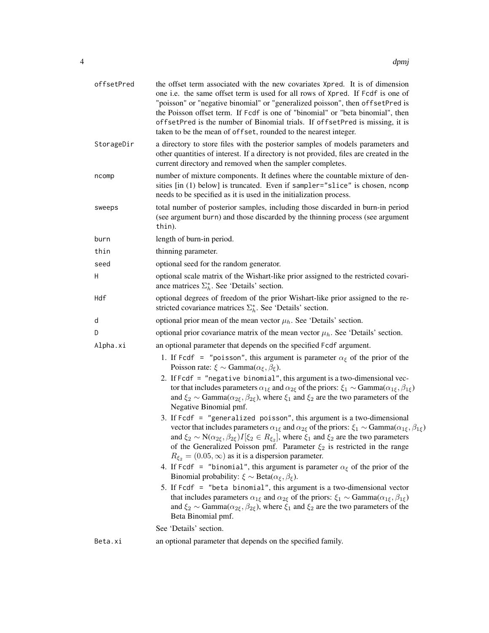| offsetPred | the offset term associated with the new covariates Xpred. It is of dimension<br>one i.e. the same offset term is used for all rows of Xpred. If Fcdf is one of<br>"poisson" or "negative binomial" or "generalized poisson", then offsetPred is<br>the Poisson offset term. If Fcdf is one of "binomial" or "beta binomial", then<br>offsetPred is the number of Binomial trials. If offsetPred is missing, it is<br>taken to be the mean of offset, rounded to the nearest integer.               |
|------------|----------------------------------------------------------------------------------------------------------------------------------------------------------------------------------------------------------------------------------------------------------------------------------------------------------------------------------------------------------------------------------------------------------------------------------------------------------------------------------------------------|
| StorageDir | a directory to store files with the posterior samples of models parameters and<br>other quantities of interest. If a directory is not provided, files are created in the<br>current directory and removed when the sampler completes.                                                                                                                                                                                                                                                              |
| ncomp      | number of mixture components. It defines where the countable mixture of den-<br>sities [in (1) below] is truncated. Even if sampler="slice" is chosen, ncomp<br>needs to be specified as it is used in the initialization process.                                                                                                                                                                                                                                                                 |
| sweeps     | total number of posterior samples, including those discarded in burn-in period<br>(see argument burn) and those discarded by the thinning process (see argument<br>thin).                                                                                                                                                                                                                                                                                                                          |
| burn       | length of burn-in period.                                                                                                                                                                                                                                                                                                                                                                                                                                                                          |
| thin       | thinning parameter.                                                                                                                                                                                                                                                                                                                                                                                                                                                                                |
| seed       | optional seed for the random generator.                                                                                                                                                                                                                                                                                                                                                                                                                                                            |
| H          | optional scale matrix of the Wishart-like prior assigned to the restricted covari-<br>ance matrices $\Sigma_h^*$ . See 'Details' section.                                                                                                                                                                                                                                                                                                                                                          |
| Hdf        | optional degrees of freedom of the prior Wishart-like prior assigned to the re-<br>stricted covariance matrices $\Sigma_h^*$ . See 'Details' section.                                                                                                                                                                                                                                                                                                                                              |
| d          | optional prior mean of the mean vector $\mu_h$ . See 'Details' section.                                                                                                                                                                                                                                                                                                                                                                                                                            |
| D          | optional prior covariance matrix of the mean vector $\mu_h$ . See 'Details' section.                                                                                                                                                                                                                                                                                                                                                                                                               |
| Alpha.xi   | an optional parameter that depends on the specified Fcdf argument.                                                                                                                                                                                                                                                                                                                                                                                                                                 |
|            | 1. If Fcdf = "poisson", this argument is parameter $\alpha_{\xi}$ of the prior of the<br>Poisson rate: $\xi \sim \text{Gamma}(\alpha_{\xi}, \beta_{\xi}).$                                                                                                                                                                                                                                                                                                                                         |
|            | 2. If Fcdf = "negative binomial", this argument is a two-dimensional vec-<br>tor that includes parameters $\alpha_{1\xi}$ and $\alpha_{2\xi}$ of the priors: $\xi_1 \sim \text{Gamma}(\alpha_{1\xi}, \beta_{1\xi})$<br>and $\xi_2 \sim \text{Gamma}(\alpha_{2\xi}, \beta_{2\xi})$ , where $\xi_1$ and $\xi_2$ are the two parameters of the<br>Negative Binomial pmf.                                                                                                                              |
|            | 3. If $Fcdf = "generalized poisson", this argument is a two-dimensional$<br>vector that includes parameters $\alpha_{1\xi}$ and $\alpha_{2\xi}$ of the priors: $\xi_1 \sim \text{Gamma}(\alpha_{1\xi}, \beta_{1\xi})$<br>and $\xi_2 \sim N(\alpha_{2\xi}, \beta_{2\xi})I[\xi_2 \in R_{\xi_2}]$ , where $\xi_1$ and $\xi_2$ are the two parameters<br>of the Generalized Poisson pmf. Parameter $\xi_2$ is restricted in the range<br>$R_{\xi_2} = (0.05, \infty)$ as it is a dispersion parameter. |
|            | 4. If Fcdf = "binomial", this argument is parameter $\alpha_{\xi}$ of the prior of the<br>Binomial probability: $\xi \sim \text{Beta}(\alpha_{\xi}, \beta_{\xi}).$                                                                                                                                                                                                                                                                                                                                 |
|            | 5. If Fcdf = "beta binomial", this argument is a two-dimensional vector<br>that includes parameters $\alpha_{1\xi}$ and $\alpha_{2\xi}$ of the priors: $\xi_1 \sim \text{Gamma}(\alpha_{1\xi}, \beta_{1\xi})$<br>and $\xi_2 \sim \text{Gamma}(\alpha_{2\xi}, \beta_{2\xi})$ , where $\xi_1$ and $\xi_2$ are the two parameters of the<br>Beta Binomial pmf.                                                                                                                                        |
|            | See 'Details' section.                                                                                                                                                                                                                                                                                                                                                                                                                                                                             |
| Beta.xi    | an optional parameter that depends on the specified family.                                                                                                                                                                                                                                                                                                                                                                                                                                        |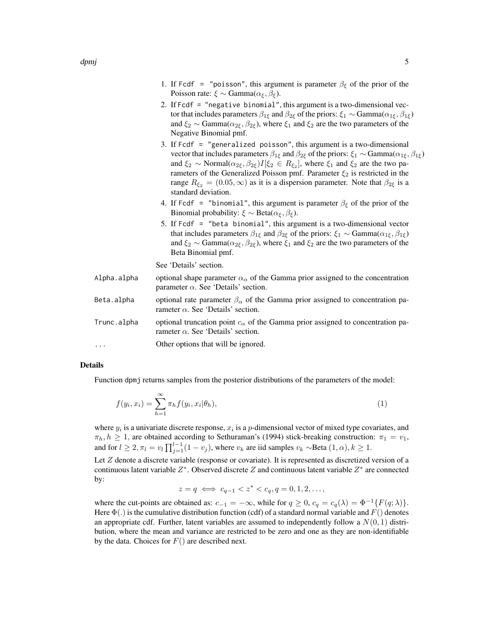- 2. If Fcdf = "negative binomial", this argument is a two-dimensional vector that includes parameters  $\beta_{1\xi}$  and  $\beta_{2\xi}$  of the priors:  $\xi_1 \sim \text{Gamma}(\alpha_{1\xi}, \beta_{1\xi})$ and  $\xi_2 \sim \text{Gamma}(\alpha_{2\xi}, \beta_{2\xi})$ , where  $\xi_1$  and  $\xi_2$  are the two parameters of the Negative Binomial pmf.
- 3. If Fcdf = "generalized poisson", this argument is a two-dimensional vector that includes parameters  $\beta_{1\xi}$  and  $\beta_{2\xi}$  of the priors:  $\xi_1 \sim \text{Gamma}(\alpha_{1\xi}, \beta_{1\xi})$ and  $\xi_2 \sim \text{Normal}(\alpha_{2\xi}, \beta_{2\xi}) I[\xi_2 \in R_{\xi_2}]$ , where  $\xi_1$  and  $\xi_2$  are the two parameters of the Generalized Poisson pmf. Parameter  $\xi_2$  is restricted in the range  $R_{\xi_2} = (0.05, \infty)$  as it is a dispersion parameter. Note that  $\beta_{2\xi}$  is a standard deviation.
- 4. If Fcdf = "binomial", this argument is parameter  $\beta_{\xi}$  of the prior of the Binomial probability:  $\xi \sim \text{Beta}(\alpha_{\xi}, \beta_{\xi}).$
- 5. If Fcdf = "beta binomial", this argument is a two-dimensional vector that includes parameters  $\beta_{1\xi}$  and  $\beta_{2\xi}$  of the priors:  $\xi_1 \sim \text{Gamma}(\alpha_{1\xi}, \beta_{1\xi})$ and  $\xi_2 \sim \text{Gamma}(\alpha_{2\xi}, \beta_{2\xi})$ , where  $\xi_1$  and  $\xi_2$  are the two parameters of the Beta Binomial pmf.

See 'Details' section.

| Alpha.alpha         | optional shape parameter $\alpha_{\alpha}$ of the Gamma prior assigned to the concentration<br>parameter $\alpha$ . See 'Details' section. |
|---------------------|--------------------------------------------------------------------------------------------------------------------------------------------|
| Beta.alpha          | optional rate parameter $\beta_{\alpha}$ of the Gamma prior assigned to concentration pa-<br>rameter $\alpha$ . See 'Details' section.     |
| Trunc.alpha         | optional truncation point $c_{\alpha}$ of the Gamma prior assigned to concentration pa-<br>rameter $\alpha$ . See 'Details' section.       |
| $\cdot \cdot \cdot$ | Other options that will be ignored.                                                                                                        |

### Details

Function dpmj returns samples from the posterior distributions of the parameters of the model:

$$
f(y_i, x_i) = \sum_{h=1}^{\infty} \pi_h f(y_i, x_i | \theta_h), \qquad (1)
$$

where  $y_i$  is a univariate discrete response,  $x_i$  is a p-dimensional vector of mixed type covariates, and  $\pi_h, h \geq 1$ , are obtained according to Sethuraman's (1994) stick-breaking construction:  $\pi_1 = v_1$ , and for  $l \geq 2, \pi_l = v_l \prod_{j=1}^{l-1} (1 - v_j)$ , where  $v_k$  are iid samples  $v_k \sim$ Beta  $(1, \alpha)$ ,  $k \geq 1$ .

Let  $Z$  denote a discrete variable (response or covariate). It is represented as discretized version of a continuous latent variable  $Z^*$ . Observed discrete Z and continuous latent variable  $Z^*$  are connected by:

$$
z = q \iff c_{q-1} < z^* < c_q, q = 0, 1, 2, \dots,
$$

where the cut-points are obtained as:  $c_{-1} = -\infty$ , while for  $q \ge 0$ ,  $c_q = c_q(\lambda) = \Phi^{-1}{F(q; \lambda)}$ . Here  $\Phi(.)$  is the cumulative distribution function (cdf) of a standard normal variable and  $F()$  denotes an appropriate cdf. Further, latent variables are assumed to independently follow a  $N(0, 1)$  distribution, where the mean and variance are restricted to be zero and one as they are non-identifiable by the data. Choices for  $F()$  are described next.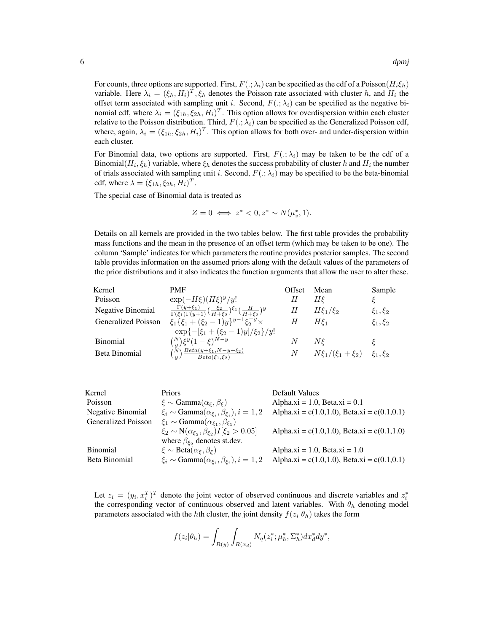For counts, three options are supported. First,  $F(\cdot; \lambda_i)$  can be specified as the cdf of a Poisson( $H_i \xi_h$ ) variable. Here  $\lambda_i = (\xi_h, H_i)^T, \xi_h$  denotes the Poisson rate associated with cluster h, and  $H_i$  the offset term associated with sampling unit i. Second,  $F(.; \lambda_i)$  can be specified as the negative binomial cdf, where  $\lambda_i = (\xi_{1h}, \xi_{2h}, H_i)^T$ . This option allows for overdispersion within each cluster relative to the Poisson distribution. Third,  $F(.; \lambda_i)$  can be specified as the Generalized Poisson cdf, where, again,  $\lambda_i = (\xi_{1h}, \xi_{2h}, H_i)^T$ . This option allows for both over- and under-dispersion within each cluster.

For Binomial data, two options are supported. First,  $F(.; \lambda_i)$  may be taken to be the cdf of a Binomial $(H_i, \xi_h)$  variable, where  $\xi_h$  denotes the success probability of cluster h and  $H_i$  the number of trials associated with sampling unit i. Second,  $F(.; \lambda_i)$  may be specified to be the beta-binomial cdf, where  $\lambda = (\xi_{1h}, \xi_{2h}, H_i)^T$ .

The special case of Binomial data is treated as

$$
Z = 0 \iff z^* < 0, z^* \sim N(\mu_z^*, 1).
$$

Details on all kernels are provided in the two tables below. The first table provides the probability mass functions and the mean in the presence of an offset term (which may be taken to be one). The column 'Sample' indicates for which parameters the routine provides posterior samples. The second table provides information on the assumed priors along with the default values of the parameters of the prior distributions and it also indicates the function arguments that allow the user to alter these.

| Kernel                     | <b>PMF</b>                                                                                                                     | Offset | Mean                                 | Sample         |
|----------------------------|--------------------------------------------------------------------------------------------------------------------------------|--------|--------------------------------------|----------------|
| Poisson                    | $\exp(-H\xi)(H\xi)^y/y!$                                                                                                       | Н      | Нξ                                   |                |
| Negative Binomial          | $\frac{\Gamma(y+\xi_1)}{\Gamma(\xi_1)\Gamma(y+1)} \left(\frac{\xi_2}{H+\xi_2}\right)^{\xi_1} \left(\frac{H}{H+\xi_2}\right)^y$ | Н      | $H\xi_1/\xi_2$                       | $\xi_1, \xi_2$ |
| <b>Generalized Poisson</b> | $\xi_1 \{\xi_1 + (\xi_2 - 1)y\}^{y-1} \xi_2^{-y} \times$                                                                       | Н      | $H\xi_1$                             | $\xi_1, \xi_2$ |
|                            | $\exp\{-[\xi_1+(\xi_2-1)y]/\xi_2\}/y!$                                                                                         |        |                                      |                |
| <b>Binomial</b>            | $\binom{N}{y} \xi^y (1-\xi)^{N-y}$                                                                                             | N      | $N\epsilon$                          |                |
| Beta Binomial              | $\left(\begin{matrix}N\\y\end{matrix}\right)\frac{Beta(y+\xi_1,N-y+\xi_2)}{Beta(\xi_1,\xi_2)}$                                 | N      | $N\xi_1/(\xi_1+\xi_2)$ $\xi_1,\xi_2$ |                |

| Kernel              | <b>Priors</b>                                                      | Default Values                              |
|---------------------|--------------------------------------------------------------------|---------------------------------------------|
| Poisson             | $\xi \sim \text{Gamma}(\alpha_{\xi}, \beta_{\xi})$                 | Alpha.xi = 1.0, Beta.xi = $0.1$             |
| Negative Binomial   | $\xi_i \sim \text{Gamma}(\alpha_{\xi_i}, \beta_{\xi_i}), i = 1, 2$ | Alpha.xi = c(1.0,1.0), Beta.xi = c(0.1,0.1) |
| Generalized Poisson | $\xi_1 \sim \text{Gamma}(\alpha_{\xi_1}, \beta_{\xi_1})$           |                                             |
|                     | $\xi_2 \sim N(\alpha_{\xi_2}, \beta_{\xi_2}) I[\xi_2 > 0.05]$      | Alpha.xi = c(1.0,1.0), Beta.xi = c(0.1,1.0) |
|                     | where $\beta_{\xi_2}$ denotes st.dev.                              |                                             |
| <b>Binomial</b>     | $\xi \sim \text{Beta}(\alpha_{\xi}, \beta_{\xi})$                  | Alpha.xi = 1.0, Beta.xi = $1.0$             |
| Beta Binomial       | $\xi_i \sim \text{Gamma}(\alpha_{\xi_i}, \beta_{\xi_i}), i = 1, 2$ | Alpha.xi = c(1.0,1.0), Beta.xi = c(0.1,0.1) |

Let  $z_i = (y_i, x_i^T)^T$  denote the joint vector of observed continuous and discrete variables and  $z_i^*$ the corresponding vector of continuous observed and latent variables. With  $\theta_h$  denoting model parameters associated with the *h*th cluster, the joint density  $f(z_i|\theta_h)$  takes the form

$$
f(z_i|\theta_h) = \int_{R(y)} \int_{R(x_d)} N_q(z_i^*; \mu_h^*, \Sigma_h^*) dx_d^* dy^*,
$$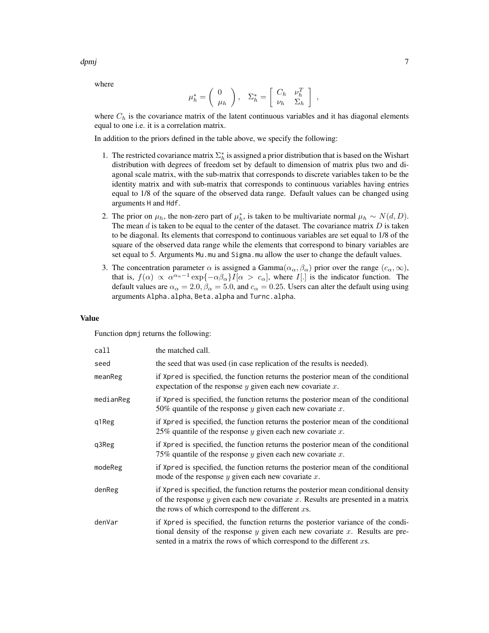where

$$
\mu_h^* = \left( \begin{array}{c} 0 \\ \mu_h \end{array} \right), \quad \Sigma_h^* = \left[ \begin{array}{cc} C_h & \nu_h^T \\ \nu_h & \Sigma_h \end{array} \right] ,
$$

where  $C_h$  is the covariance matrix of the latent continuous variables and it has diagonal elements equal to one i.e. it is a correlation matrix.

In addition to the priors defined in the table above, we specify the following:

- 1. The restricted covariance matrix  $\Sigma_h^*$  is assigned a prior distribution that is based on the Wishart distribution with degrees of freedom set by default to dimension of matrix plus two and diagonal scale matrix, with the sub-matrix that corresponds to discrete variables taken to be the identity matrix and with sub-matrix that corresponds to continuous variables having entries equal to 1/8 of the square of the observed data range. Default values can be changed using arguments H and Hdf.
- 2. The prior on  $\mu_h$ , the non-zero part of  $\mu_h^*$ , is taken to be multivariate normal  $\mu_h \sim N(d, D)$ . The mean  $d$  is taken to be equal to the center of the dataset. The covariance matrix  $D$  is taken to be diagonal. Its elements that correspond to continuous variables are set equal to 1/8 of the square of the observed data range while the elements that correspond to binary variables are set equal to 5. Arguments Mu.mu and Sigma.mu allow the user to change the default values.
- 3. The concentration parameter  $\alpha$  is assigned a Gamma $(\alpha_{\alpha}, \beta_{\alpha})$  prior over the range  $(c_{\alpha}, \infty)$ , that is,  $f(\alpha) \propto \alpha^{\alpha_{\alpha}-1} \exp\{-\alpha \beta_{\alpha}\} I[\alpha > c_{\alpha}]$ , where I[.] is the indicator function. The default values are  $\alpha_{\alpha} = 2.0$ ,  $\beta_{\alpha} = 5.0$ , and  $c_{\alpha} = 0.25$ . Users can alter the default using using arguments Alpha.alpha, Beta.alpha and Turnc.alpha.

#### Value

Function dpmj returns the following:

| call      | the matched call.                                                                                                                                                                                                                              |
|-----------|------------------------------------------------------------------------------------------------------------------------------------------------------------------------------------------------------------------------------------------------|
| seed      | the seed that was used (in case replication of the results is needed).                                                                                                                                                                         |
| meanReg   | if Xpred is specified, the function returns the posterior mean of the conditional<br>expectation of the response $y$ given each new covariate $x$ .                                                                                            |
| medianReg | if Xpred is specified, the function returns the posterior mean of the conditional<br>50% quantile of the response $y$ given each new covariate $x$ .                                                                                           |
| q1Reg     | if Xpred is specified, the function returns the posterior mean of the conditional<br>25% quantile of the response y given each new covariate x.                                                                                                |
| q3Reg     | if Xpred is specified, the function returns the posterior mean of the conditional<br>75% quantile of the response $y$ given each new covariate $x$ .                                                                                           |
| modeReg   | if Xpred is specified, the function returns the posterior mean of the conditional<br>mode of the response $y$ given each new covariate $x$ .                                                                                                   |
| denReg    | if Xpred is specified, the function returns the posterior mean conditional density<br>of the response $y$ given each new covariate $x$ . Results are presented in a matrix<br>the rows of which correspond to the different $xs$ .             |
| denVar    | if Xpred is specified, the function returns the posterior variance of the condi-<br>tional density of the response $y$ given each new covariate $x$ . Results are pre-<br>sented in a matrix the rows of which correspond to the different xs. |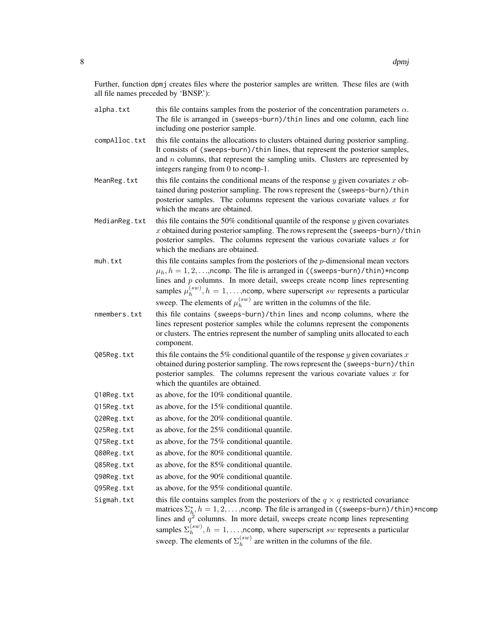Further, function dpmj creates files where the posterior samples are written. These files are (with all file names preceded by 'BNSP.'):

- alpha.txt this file contains samples from the posterior of the concentration parameters  $\alpha$ . The file is arranged in (sweeps-burn)/thin lines and one column, each line including one posterior sample.
- compAlloc.txt this file contains the allocations to clusters obtained during posterior sampling. It consists of (sweeps-burn)/thin lines, that represent the posterior samples, and  $n$  columns, that represent the sampling units. Clusters are represented by integers ranging from 0 to ncomp-1.
- MeanReg.txt this file contains the conditional means of the response y given covariates x obtained during posterior sampling. The rows represent the (sweeps-burn)/thin posterior samples. The columns represent the various covariate values  $x$  for which the means are obtained.
- MedianReg.txt this file contains the 50% conditional quantile of the response  $y$  given covariates  $x$  obtained during posterior sampling. The rows represent the (sweeps-burn)/thin posterior samples. The columns represent the various covariate values  $x$  for which the medians are obtained.
- muh. txt this file contains samples from the posteriors of the  $p$ -dimensional mean vectors  $\mu_h$ ,  $h = 1, 2, \ldots$ , ncomp. The file is arranged in ((sweeps-burn)/thin)\*ncomp lines and p columns. In more detail, sweeps create ncomp lines representing samples  $\mu_h^{(sw)}$  $h_h^{(sw)}$ ,  $h = 1, \ldots$ , ncomp, where superscript sw represents a particular sweep. The elements of  $\mu_h^{(sw)}$  $h^{(sw)}$  are written in the columns of the file.
- nmembers.txt this file contains (sweeps-burn)/thin lines and ncomp columns, where the lines represent posterior samples while the columns represent the components or clusters. The entries represent the number of sampling units allocated to each component.
- Q05Reg.txt this file contains the 5% conditional quantile of the response y given covariates x obtained during posterior sampling. The rows represent the (sweeps-burn)/thin posterior samples. The columns represent the various covariate values  $x$  for which the quantiles are obtained.
- Q10Reg.txt as above, for the 10% conditional quantile.
- 015Reg.txt as above, for the  $15\%$  conditional quantile.
- Q20Reg.txt as above, for the 20% conditional quantile.
- Q25Reg.txt as above, for the 25% conditional quantile.
- Q75Reg.txt as above, for the 75% conditional quantile.
- Q80Reg.txt as above, for the 80% conditional quantile.
- Q85Reg.txt as above, for the 85% conditional quantile.
- Q90Reg.txt as above, for the 90% conditional quantile.
- Q95Reg.txt as above, for the 95% conditional quantile.

Sigmah.txt this file contains samples from the posteriors of the  $q \times q$  restricted covariance matrices  $\Sigma_h^*,h=1,2,\ldots,$ ncomp. The file is arranged in ((sweeps-burn)/thin)\*ncomp lines and  $q^2$  columns. In more detail, sweeps create ncomp lines representing samples  $\Sigma_h^{(sw)}$  $h_h^{(sw)}$ ,  $h = 1, \ldots$ , ncomp, where superscript sw represents a particular sweep. The elements of  $\Sigma_h^{(sw)}$  $h_h^{(sw)}$  are written in the columns of the file.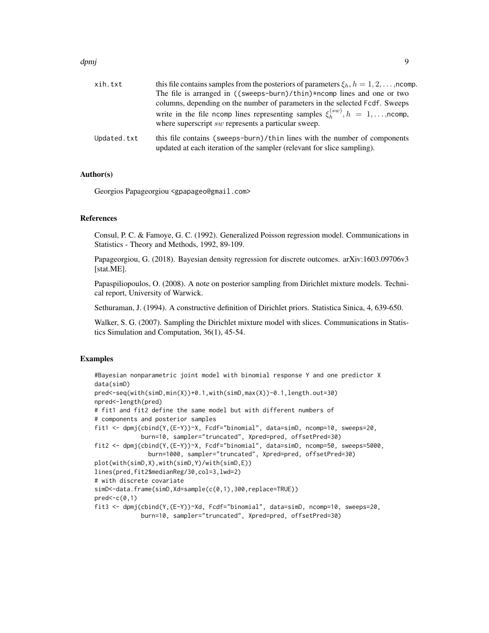#### d*pmj* 90 december 1999 december 1999 december 1999 december 1999 december 1999 december 1999 december 1999 december 1999 december 1999 december 1999 december 1999 december 1999 december 1999 december 1999 december 1999 de

| xih.txt     | this file contains samples from the posteriors of parameters $\xi_h$ , $h = 1, 2, \dots$ , ncomp. |
|-------------|---------------------------------------------------------------------------------------------------|
|             | The file is arranged in $((\text{sweeps-burn})/\text{thin})$ *ncomp lines and one or two          |
|             | columns, depending on the number of parameters in the selected Fcdf. Sweeps                       |
|             | write in the file ncomp lines representing samples $\xi_k^{(sw)}$ , $h = 1, \dots$ , ncomp,       |
|             | where superscript sw represents a particular sweep.                                               |
| Updated.txt | this file contains (sweeps-burn)/thin lines with the number of components                         |
|             | updated at each iteration of the sampler (relevant for slice sampling).                           |

# Author(s)

Georgios Papageorgiou <gpapageo@gmail.com>

#### **References**

Consul, P. C. & Famoye, G. C. (1992). Generalized Poisson regression model. Communications in Statistics - Theory and Methods, 1992, 89-109.

Papageorgiou, G. (2018). Bayesian density regression for discrete outcomes. arXiv:1603.09706v3 [stat.ME].

Papaspiliopoulos, O. (2008). A note on posterior sampling from Dirichlet mixture models. Technical report, University of Warwick.

Sethuraman, J. (1994). A constructive definition of Dirichlet priors. Statistica Sinica, 4, 639-650.

Walker, S. G. (2007). Sampling the Dirichlet mixture model with slices. Communications in Statistics Simulation and Computation, 36(1), 45-54.

# Examples

```
#Bayesian nonparametric joint model with binomial response Y and one predictor X
data(simD)
pred<-seq(with(simD,min(X))+0.1,with(simD,max(X))-0.1,length.out=30)
npred<-length(pred)
# fit1 and fit2 define the same model but with different numbers of
# components and posterior samples
fit1 <- dpmj(cbind(Y,(E-Y))~X, Fcdf="binomial", data=simD, ncomp=10, sweeps=20,
             burn=10, sampler="truncated", Xpred=pred, offsetPred=30)
fit2 <- dpmj(cbind(Y,(E-Y))~X, Fcdf="binomial", data=simD, ncomp=50, sweeps=5000,
               burn=1000, sampler="truncated", Xpred=pred, offsetPred=30)
plot(with(simD,X),with(simD,Y)/with(simD,E))
lines(pred,fit2$medianReg/30,col=3,lwd=2)
# with discrete covariate
simD<-data.frame(simD,Xd=sample(c(0,1),300,replace=TRUE))
pred<-c(0,1)
fit3 <- dpmj(cbind(Y,(E-Y))~Xd, Fcdf="binomial", data=simD, ncomp=10, sweeps=20,
             burn=10, sampler="truncated", Xpred=pred, offsetPred=30)
```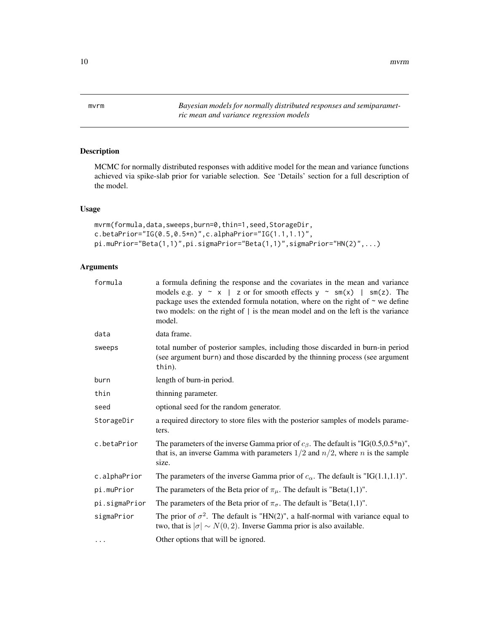<span id="page-9-1"></span><span id="page-9-0"></span>mvrm *Bayesian models for normally distributed responses and semiparametric mean and variance regression models*

# Description

MCMC for normally distributed responses with additive model for the mean and variance functions achieved via spike-slab prior for variable selection. See 'Details' section for a full description of the model.

# Usage

```
mvrm(formula,data,sweeps,burn=0,thin=1,seed,StorageDir,
c.betaPrior="IG(0.5,0.5*n)",c.alphaPrior="IG(1.1,1.1)",
pi.muPrior="Beta(1,1)",pi.sigmaPrior="Beta(1,1)",sigmaPrior="HN(2)",...)
```

| formula       | a formula defining the response and the covariates in the mean and variance<br>models e.g. $y \sim x$   z or for smooth effects $y \sim sm(x)$   sm(z). The<br>package uses the extended formula notation, where on the right of $\sim$ we define<br>two models: on the right of   is the mean model and on the left is the variance<br>model. |
|---------------|------------------------------------------------------------------------------------------------------------------------------------------------------------------------------------------------------------------------------------------------------------------------------------------------------------------------------------------------|
| data          | data frame.                                                                                                                                                                                                                                                                                                                                    |
| sweeps        | total number of posterior samples, including those discarded in burn-in period<br>(see argument burn) and those discarded by the thinning process (see argument<br>thin).                                                                                                                                                                      |
| burn          | length of burn-in period.                                                                                                                                                                                                                                                                                                                      |
| thin          | thinning parameter.                                                                                                                                                                                                                                                                                                                            |
| seed          | optional seed for the random generator.                                                                                                                                                                                                                                                                                                        |
| StorageDir    | a required directory to store files with the posterior samples of models parame-<br>ters.                                                                                                                                                                                                                                                      |
| c.betaPrior   | The parameters of the inverse Gamma prior of $c_{\beta}$ . The default is "IG(0.5,0.5*n)",<br>that is, an inverse Gamma with parameters $1/2$ and $n/2$ , where <i>n</i> is the sample<br>size.                                                                                                                                                |
| c.alphaPrior  | The parameters of the inverse Gamma prior of $c_{\alpha}$ . The default is "IG(1.1,1.1)".                                                                                                                                                                                                                                                      |
| pi.muPrior    | The parameters of the Beta prior of $\pi_{\mu}$ . The default is "Beta(1,1)".                                                                                                                                                                                                                                                                  |
| pi.sigmaPrior | The parameters of the Beta prior of $\pi_{\sigma}$ . The default is "Beta(1,1)".                                                                                                                                                                                                                                                               |
| sigmaPrior    | The prior of $\sigma^2$ . The default is "HN(2)", a half-normal with variance equal to<br>two, that is $ \sigma  \sim N(0, 2)$ . Inverse Gamma prior is also available.                                                                                                                                                                        |
| $\cdots$      | Other options that will be ignored.                                                                                                                                                                                                                                                                                                            |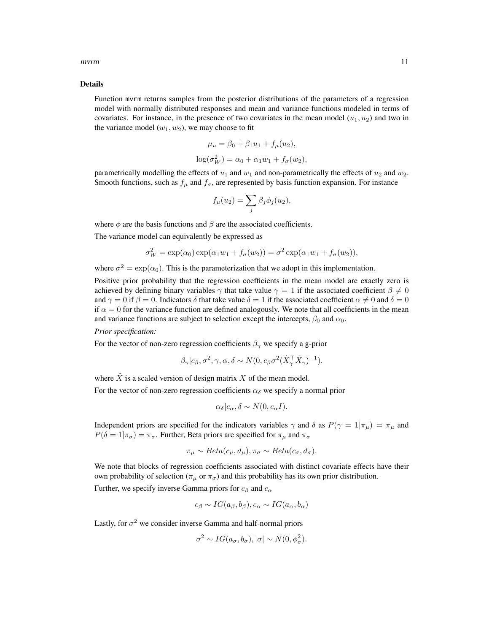#### mvrm 11

#### Details

Function mvrm returns samples from the posterior distributions of the parameters of a regression model with normally distributed responses and mean and variance functions modeled in terms of covariates. For instance, in the presence of two covariates in the mean model  $(u_1, u_2)$  and two in the variance model  $(w_1, w_2)$ , we may choose to fit

$$
\mu_u = \beta_0 + \beta_1 u_1 + f_\mu(u_2),
$$
  

$$
\log(\sigma_W^2) = \alpha_0 + \alpha_1 w_1 + f_\sigma(w_2),
$$

parametrically modelling the effects of  $u_1$  and  $w_1$  and non-parametrically the effects of  $u_2$  and  $w_2$ . Smooth functions, such as  $f_{\mu}$  and  $f_{\sigma}$ , are represented by basis function expansion. For instance

$$
f_{\mu}(u_2) = \sum_j \beta_j \phi_j(u_2),
$$

where  $\phi$  are the basis functions and  $\beta$  are the associated coefficients.

The variance model can equivalently be expressed as

$$
\sigma_W^2 = \exp(\alpha_0) \exp(\alpha_1 w_1 + f_\sigma(w_2)) = \sigma^2 \exp(\alpha_1 w_1 + f_\sigma(w_2)),
$$

where  $\sigma^2 = \exp(\alpha_0)$ . This is the parameterization that we adopt in this implementation.

Positive prior probability that the regression coefficients in the mean model are exactly zero is achieved by defining binary variables  $\gamma$  that take value  $\gamma = 1$  if the associated coefficient  $\beta \neq 0$ and  $\gamma = 0$  if  $\beta = 0$ . Indicators  $\delta$  that take value  $\delta = 1$  if the associated coefficient  $\alpha \neq 0$  and  $\delta = 0$ if  $\alpha = 0$  for the variance function are defined analogously. We note that all coefficients in the mean and variance functions are subject to selection except the intercepts,  $\beta_0$  and  $\alpha_0$ .

#### *Prior specification:*

For the vector of non-zero regression coefficients  $\beta_{\gamma}$  we specify a g-prior

$$
\beta_{\gamma}|c_{\beta}, \sigma^2, \gamma, \alpha, \delta \sim N(0, c_{\beta}\sigma^2(\tilde{X}_{\gamma}^{\top}\tilde{X}_{\gamma})^{-1}).
$$

where  $\tilde{X}$  is a scaled version of design matrix X of the mean model.

For the vector of non-zero regression coefficients  $\alpha_{\delta}$  we specify a normal prior

$$
\alpha_{\delta}|c_{\alpha}, \delta \sim N(0, c_{\alpha}I).
$$

Independent priors are specified for the indicators variables  $\gamma$  and  $\delta$  as  $P(\gamma = 1 | \pi_\mu) = \pi_\mu$  and  $P(\delta = 1 | \pi_{\sigma}) = \pi_{\sigma}$ . Further, Beta priors are specified for  $\pi_{\mu}$  and  $\pi_{\sigma}$ 

$$
\pi_{\mu} \sim Beta(c_{\mu}, d_{\mu}), \pi_{\sigma} \sim Beta(c_{\sigma}, d_{\sigma}).
$$

We note that blocks of regression coefficients associated with distinct covariate effects have their own probability of selection ( $\pi_{\mu}$  or  $\pi_{\sigma}$ ) and this probability has its own prior distribution. Further, we specify inverse Gamma priors for  $c_{\beta}$  and  $c_{\alpha}$ 

$$
c_{\beta} \sim IG(a_{\beta}, b_{\beta}), c_{\alpha} \sim IG(a_{\alpha}, b_{\alpha})
$$

Lastly, for  $\sigma^2$  we consider inverse Gamma and half-normal priors

$$
\sigma^2 \sim IG(a_{\sigma}, b_{\sigma}), |\sigma| \sim N(0, \phi_{\sigma}^2).
$$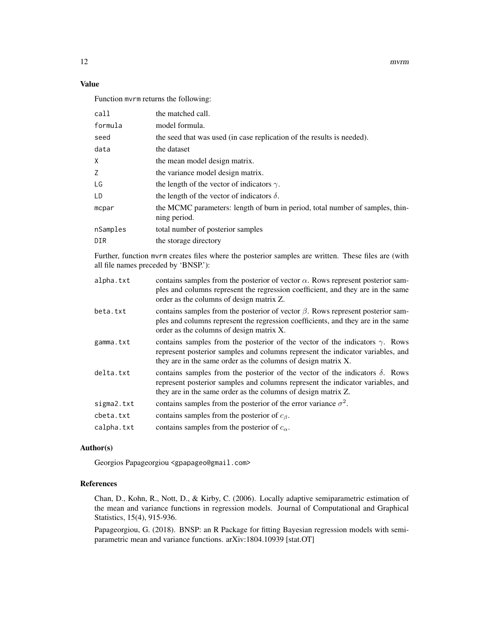12 mvrm

# Value

Function mvrm returns the following:

| call     | the matched call.                                                                             |
|----------|-----------------------------------------------------------------------------------------------|
| formula  | model formula.                                                                                |
| seed     | the seed that was used (in case replication of the results is needed).                        |
| data     | the dataset                                                                                   |
| X.       | the mean model design matrix.                                                                 |
| Z.       | the variance model design matrix.                                                             |
| LG       | the length of the vector of indicators $\gamma$ .                                             |
| LD       | the length of the vector of indicators $\delta$ .                                             |
| mcpar    | the MCMC parameters: length of burn in period, total number of samples, thin-<br>ning period. |
| nSamples | total number of posterior samples                                                             |
| DIR      | the storage directory                                                                         |

Further, function mvrm creates files where the posterior samples are written. These files are (with all file names preceded by 'BNSP.'):

| alpha.txt  | contains samples from the posterior of vector $\alpha$ . Rows represent posterior sam-<br>ples and columns represent the regression coefficient, and they are in the same<br>order as the columns of design matrix Z.                  |
|------------|----------------------------------------------------------------------------------------------------------------------------------------------------------------------------------------------------------------------------------------|
| beta.txt   | contains samples from the posterior of vector $\beta$ . Rows represent posterior sam-<br>ples and columns represent the regression coefficients, and they are in the same<br>order as the columns of design matrix X.                  |
| gamma.txt  | contains samples from the posterior of the vector of the indicators $\gamma$ . Rows<br>represent posterior samples and columns represent the indicator variables, and<br>they are in the same order as the columns of design matrix X. |
| delta.txt  | contains samples from the posterior of the vector of the indicators $\delta$ . Rows<br>represent posterior samples and columns represent the indicator variables, and<br>they are in the same order as the columns of design matrix Z. |
| sigma2.txt | contains samples from the posterior of the error variance $\sigma^2$ .                                                                                                                                                                 |
| cbeta.txt  | contains samples from the posterior of $c_{\beta}$ .                                                                                                                                                                                   |
| calpha.txt | contains samples from the posterior of $c_{\alpha}$ .                                                                                                                                                                                  |
|            |                                                                                                                                                                                                                                        |

# Author(s)

Georgios Papageorgiou <gpapageo@gmail.com>

# References

Chan, D., Kohn, R., Nott, D., & Kirby, C. (2006). Locally adaptive semiparametric estimation of the mean and variance functions in regression models. Journal of Computational and Graphical Statistics, 15(4), 915-936.

Papageorgiou, G. (2018). BNSP: an R Package for fitting Bayesian regression models with semiparametric mean and variance functions. arXiv:1804.10939 [stat.OT]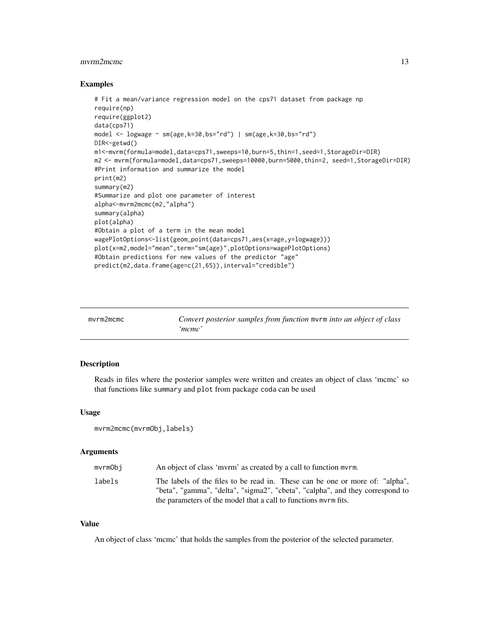#### <span id="page-12-0"></span>mvrm2mcmc 13

#### Examples

```
# Fit a mean/variance regression model on the cps71 dataset from package np
require(np)
require(ggplot2)
data(cps71)
model <- logwage ~ sm(age,k=30,bs="rd") | sm(age,k=30,bs="rd")
DIR<-getwd()
m1<-mvrm(formula=model,data=cps71,sweeps=10,burn=5,thin=1,seed=1,StorageDir=DIR)
m2 <- mvrm(formula=model,data=cps71,sweeps=10000,burn=5000,thin=2, seed=1,StorageDir=DIR)
#Print information and summarize the model
print(m2)
summary(m2)
#Summarize and plot one parameter of interest
alpha<-mvrm2mcmc(m2,"alpha")
summary(alpha)
plot(alpha)
#Obtain a plot of a term in the mean model
wagePlotOptions<-list(geom_point(data=cps71,aes(x=age,y=logwage)))
plot(x=m2,model="mean",term="sm(age)",plotOptions=wagePlotOptions)
#Obtain predictions for new values of the predictor "age"
predict(m2,data.frame(age=c(21,65)),interval="credible")
```

| mvrm2mcmc | Convert posterior samples from function myrm into an object of class |
|-----------|----------------------------------------------------------------------|
|           | mcmc'                                                                |

#### Description

Reads in files where the posterior samples were written and creates an object of class 'mcmc' so that functions like summary and plot from package coda can be used

# Usage

```
mvrm2mcmc(mvrmObj,labels)
```
#### Arguments

| mvrmObi | An object of class 'mvrm' as created by a call to function myrm.                                                                                              |
|---------|---------------------------------------------------------------------------------------------------------------------------------------------------------------|
| labels  | The labels of the files to be read in. These can be one or more of: "alpha",<br>"beta", "gamma", "delta", "sigma2", "cbeta", "calpha", and they correspond to |
|         | the parameters of the model that a call to functions myrm fits.                                                                                               |

# Value

An object of class 'mcmc' that holds the samples from the posterior of the selected parameter.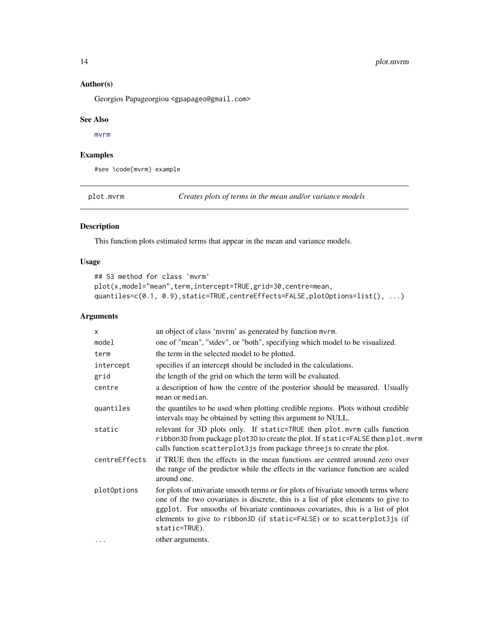# Author(s)

Georgios Papageorgiou <gpapageo@gmail.com>

#### See Also

[mvrm](#page-9-1)

# Examples

#see \code{mvrm} example

plot.mvrm *Creates plots of terms in the mean and/or variance models*

# Description

This function plots estimated terms that appear in the mean and variance models.

# Usage

```
## S3 method for class 'mvrm'
plot(x,model="mean",term,intercept=TRUE,grid=30,centre=mean,
quantiles=c(0.1, 0.9), static=TRUE, centreEffects=FALSE, plotOptions=list(), ...)
```

| $\mathsf{x}$  | an object of class 'mvrm' as generated by function mvrm.                                                                                                                                                                                                                                                                                             |
|---------------|------------------------------------------------------------------------------------------------------------------------------------------------------------------------------------------------------------------------------------------------------------------------------------------------------------------------------------------------------|
| model         | one of "mean", "stdev", or "both", specifying which model to be visualized.                                                                                                                                                                                                                                                                          |
| term          | the term in the selected model to be plotted.                                                                                                                                                                                                                                                                                                        |
| intercept     | specifies if an intercept should be included in the calculations.                                                                                                                                                                                                                                                                                    |
| grid          | the length of the grid on which the term will be evaluated.                                                                                                                                                                                                                                                                                          |
| centre        | a description of how the centre of the posterior should be measured. Usually<br>mean or median.                                                                                                                                                                                                                                                      |
| quantiles     | the quantiles to be used when plotting credible regions. Plots without credible<br>intervals may be obtained by setting this argument to NULL.                                                                                                                                                                                                       |
| static        | relevant for 3D plots only. If static=TRUE then plot.mvrm calls function<br>ribbon3D from package plot3D to create the plot. If static=FALSE then plot.mvrm<br>calls function scatterplot3js from package three js to create the plot.                                                                                                               |
| centreEffects | if TRUE then the effects in the mean functions are centred around zero over<br>the range of the predictor while the effects in the variance function are scaled<br>around one.                                                                                                                                                                       |
| plotOptions   | for plots of univariate smooth terms or for plots of bivariate smooth terms where<br>one of the two covariates is discrete, this is a list of plot elements to give to<br>ggplot. For smooths of bivariate continuous covariates, this is a list of plot<br>elements to give to ribbon3D (if static=FALSE) or to scatterplot3js (if<br>static=TRUE). |
| .             | other arguments.                                                                                                                                                                                                                                                                                                                                     |
|               |                                                                                                                                                                                                                                                                                                                                                      |

<span id="page-13-0"></span>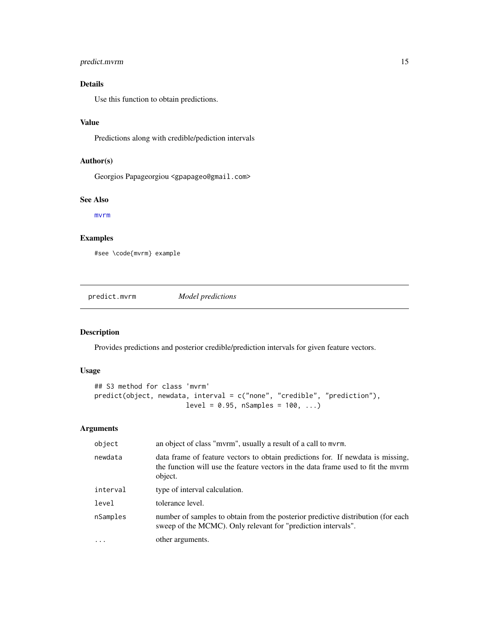# <span id="page-14-0"></span>predict.mvrm 15

# Details

Use this function to obtain predictions.

# Value

Predictions along with credible/pediction intervals

# Author(s)

Georgios Papageorgiou <gpapageo@gmail.com>

#### See Also

[mvrm](#page-9-1)

# Examples

#see \code{mvrm} example

predict.mvrm *Model predictions*

# Description

Provides predictions and posterior credible/prediction intervals for given feature vectors.

# Usage

```
## S3 method for class 'mvrm'
predict(object, newdata, interval = c("none", "credible", "prediction"),
                      level = 0.95, nsamples = 100, ...
```

| object   | an object of class "mvrm", usually a result of a call to mvrm.                                                                                                                 |
|----------|--------------------------------------------------------------------------------------------------------------------------------------------------------------------------------|
| newdata  | data frame of feature vectors to obtain predictions for. If newdata is missing,<br>the function will use the feature vectors in the data frame used to fit the myrm<br>object. |
| interval | type of interval calculation.                                                                                                                                                  |
| level    | tolerance level.                                                                                                                                                               |
| nSamples | number of samples to obtain from the posterior predictive distribution (for each<br>sweep of the MCMC). Only relevant for "prediction intervals".                              |
|          | other arguments.                                                                                                                                                               |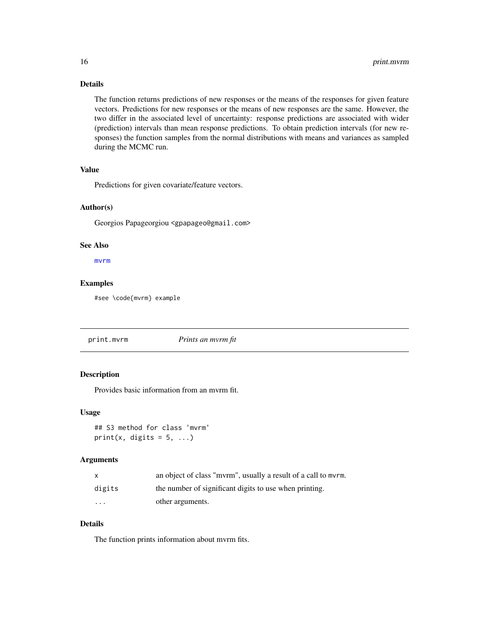# <span id="page-15-0"></span>Details

The function returns predictions of new responses or the means of the responses for given feature vectors. Predictions for new responses or the means of new responses are the same. However, the two differ in the associated level of uncertainty: response predictions are associated with wider (prediction) intervals than mean response predictions. To obtain prediction intervals (for new responses) the function samples from the normal distributions with means and variances as sampled during the MCMC run.

# Value

Predictions for given covariate/feature vectors.

# Author(s)

Georgios Papageorgiou <gpapageo@gmail.com>

# See Also

[mvrm](#page-9-1)

# Examples

#see \code{mvrm} example

print.mvrm *Prints an mvrm fit*

# Description

Provides basic information from an mvrm fit.

#### Usage

## S3 method for class 'mvrm' print(x, digits =  $5, ...$ )

#### Arguments

| $\mathsf{x}$            | an object of class "myrm", usually a result of a call to myrm. |
|-------------------------|----------------------------------------------------------------|
| digits                  | the number of significant digits to use when printing.         |
| $\cdot$ $\cdot$ $\cdot$ | other arguments.                                               |

# Details

The function prints information about mvrm fits.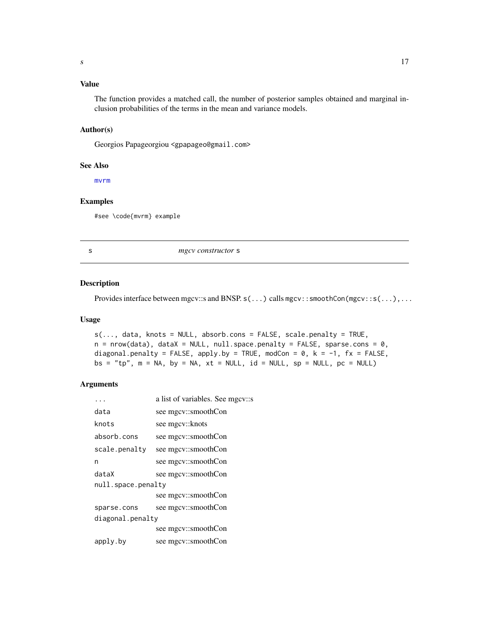# <span id="page-16-0"></span>Value

The function provides a matched call, the number of posterior samples obtained and marginal inclusion probabilities of the terms in the mean and variance models.

# Author(s)

Georgios Papageorgiou <gpapageo@gmail.com>

#### See Also

[mvrm](#page-9-1)

# Examples

#see \code{mvrm} example

s *mgcv constructor* s

#### Description

Provides interface between mgcv::s and BNSP. s(...) calls mgcv::smoothCon(mgcv::s(...),...

# Usage

```
s(..., data, knots = NULL, absorbcons = FALSE, scale.penalty = TRUE,n = nrow(data), dataX = NULL, null.\spacespace space.penalty = FALSE, sparse.cons = 0,
diagonal.penalty = FALSE, apply.by = TRUE, modCon = 0, k = -1, fx = FALSE,
bs = "tp", m = NA, by = NA, xt = NULL, id = NULL, sp = NULL, pc = NULL)
```

|                    | a list of variables. See mgcv::s |  |
|--------------------|----------------------------------|--|
| data               | see mgcv::smoothCon              |  |
| knots              | see mgcy::knots                  |  |
| absorb.cons        | see mgcv::smoothCon              |  |
| scale.penalty      | see mgcv::smoothCon              |  |
| n                  | see mgcv::smoothCon              |  |
| dataX              | see mgcv::smoothCon              |  |
| null.space.penalty |                                  |  |
|                    | see mgcv::smoothCon              |  |
| sparse.cons        | see mgcv::smoothCon              |  |
| diagonal.penalty   |                                  |  |
|                    | see mgcv::smoothCon              |  |
| apply.by           | see mgcv::smoothCon              |  |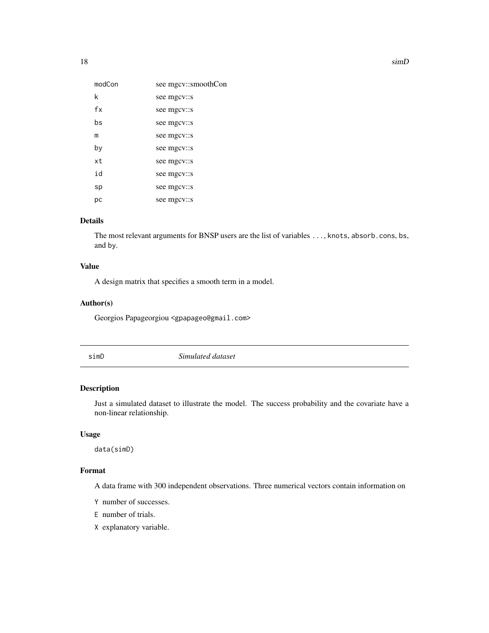<span id="page-17-0"></span>

| modCon | see mgcv::smoothCon |
|--------|---------------------|
| k      | see mgcv::s         |
| fx     | see mgcv::s         |
| bs     | see mgcv::s         |
| m      | see mgcv::s         |
| by     | see mgcv::s         |
| xt     | see mgcv::s         |
| id     | see mgcv::s         |
| sp     | see mgcv::s         |
| рc     | see mgcv::s         |

# Details

The most relevant arguments for BNSP users are the list of variables ..., knots, absorb.cons, bs, and by.

# Value

A design matrix that specifies a smooth term in a model.

# Author(s)

Georgios Papageorgiou <gpapageo@gmail.com>

simD *Simulated dataset*

# Description

Just a simulated dataset to illustrate the model. The success probability and the covariate have a non-linear relationship.

#### Usage

data(simD)

# Format

A data frame with 300 independent observations. Three numerical vectors contain information on

- Y number of successes.
- E number of trials.
- X explanatory variable.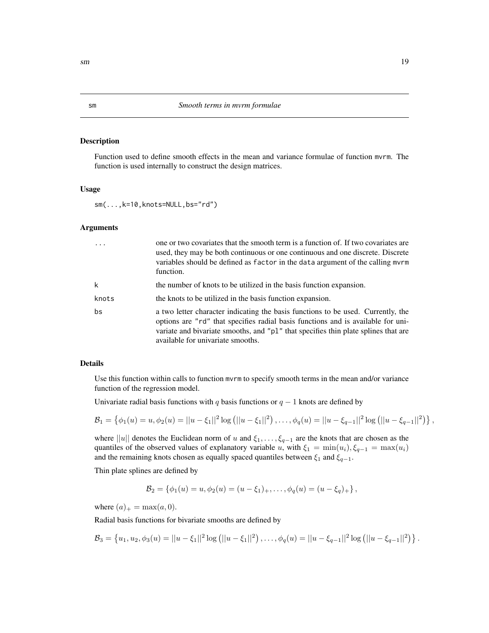#### Description

Function used to define smooth effects in the mean and variance formulae of function mvrm. The function is used internally to construct the design matrices.

#### Usage

sm(...,k=10,knots=NULL,bs="rd")

#### Arguments

|       | one or two covariates that the smooth term is a function of. If two covariates are<br>used, they may be both continuous or one continuous and one discrete. Discrete<br>variables should be defined as factor in the data argument of the calling mvrm<br>function.                             |
|-------|-------------------------------------------------------------------------------------------------------------------------------------------------------------------------------------------------------------------------------------------------------------------------------------------------|
| k     | the number of knots to be utilized in the basis function expansion.                                                                                                                                                                                                                             |
| knots | the knots to be utilized in the basis function expansion.                                                                                                                                                                                                                                       |
| bs    | a two letter character indicating the basis functions to be used. Currently, the<br>options are "rd" that specifies radial basis functions and is available for uni-<br>variate and bivariate smooths, and "p1" that specifies thin plate splines that are<br>available for univariate smooths. |

#### Details

Use this function within calls to function mvrm to specify smooth terms in the mean and/or variance function of the regression model.

Univariate radial basis functions with q basis functions or  $q - 1$  knots are defined by

$$
\mathcal{B}_1 = \left\{ \phi_1(u) = u, \phi_2(u) = ||u - \xi_1||^2 \log (||u - \xi_1||^2), \ldots, \phi_q(u) = ||u - \xi_{q-1}||^2 \log (||u - \xi_{q-1}||^2) \right\},\,
$$

where ||u|| denotes the Euclidean norm of u and  $\xi_1, \ldots, \xi_{q-1}$  are the knots that are chosen as the quantiles of the observed values of explanatory variable u, with  $\xi_1 = \min(u_i), \xi_{q-1} = \max(u_i)$ and the remaining knots chosen as equally spaced quantiles between  $\xi_1$  and  $\xi_{q-1}$ .

Thin plate splines are defined by

$$
\mathcal{B}_2 = \{ \phi_1(u) = u, \phi_2(u) = (u - \xi_1)_+, \dots, \phi_q(u) = (u - \xi_q)_+ \},
$$

where  $(a)_+$  = max $(a, 0)$ .

Radial basis functions for bivariate smooths are defined by

$$
\mathcal{B}_3 = \left\{ u_1, u_2, \phi_3(u) = ||u - \xi_1||^2 \log (||u - \xi_1||^2), \ldots, \phi_q(u) = ||u - \xi_{q-1}||^2 \log (||u - \xi_{q-1}||^2) \right\}.
$$

<span id="page-18-0"></span>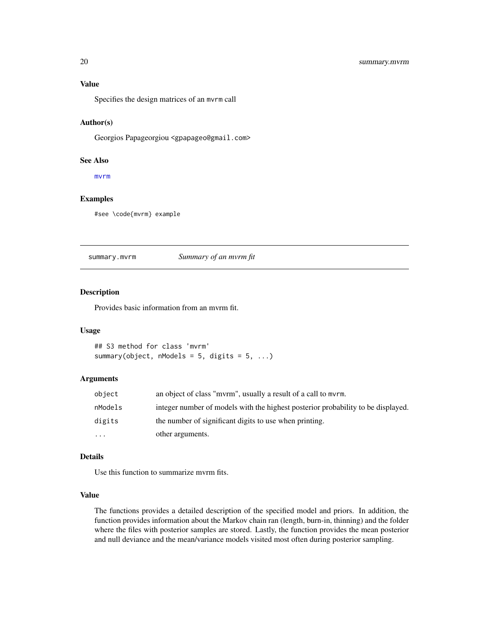#### <span id="page-19-0"></span>Value

Specifies the design matrices of an mvrm call

#### Author(s)

Georgios Papageorgiou <gpapageo@gmail.com>

#### See Also

[mvrm](#page-9-1)

# Examples

#see \code{mvrm} example

summary.mvrm *Summary of an mvrm fit*

### Description

Provides basic information from an mvrm fit.

#### Usage

## S3 method for class 'mvrm' summary(object, nModels = 5, digits =  $5$ , ...)

# Arguments

| object    | an object of class "myrm", usually a result of a call to myrm.                   |
|-----------|----------------------------------------------------------------------------------|
| nModels   | integer number of models with the highest posterior probability to be displayed. |
| digits    | the number of significant digits to use when printing.                           |
| $\ddotsc$ | other arguments.                                                                 |

#### Details

Use this function to summarize mvrm fits.

#### Value

The functions provides a detailed description of the specified model and priors. In addition, the function provides information about the Markov chain ran (length, burn-in, thinning) and the folder where the files with posterior samples are stored. Lastly, the function provides the mean posterior and null deviance and the mean/variance models visited most often during posterior sampling.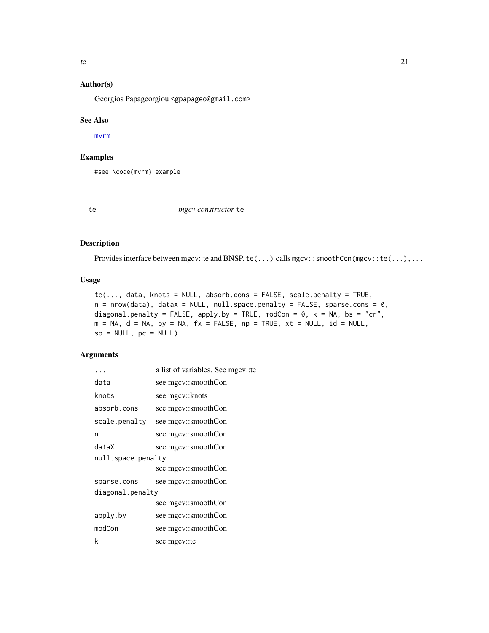# <span id="page-20-0"></span>Author(s)

Georgios Papageorgiou <gpapageo@gmail.com>

#### See Also

[mvrm](#page-9-1)

# Examples

#see \code{mvrm} example

te *mgcv constructor* te

#### Description

Provides interface between mgcv::te and BNSP. te(...) calls mgcv::smoothCon(mgcv::te(...),...

# Usage

```
te(..., data, knots = NULL, absorbcons = FALSE, scale.penalty = TRUE,n = nrow(data), dataX = NULL, null.space.penalty = FALSE, sparse.cons = 0,
diagonal.penalty = FALSE, apply.by = TRUE, modCon = 0, k = NA, bs = "cr",
m = NA, d = NA, by = NA, fx = FALSE, np = TRUE, xt = NULL, id = NULL,
sp = NULL, pc = NULL
```

|                    | a list of variables. See mgcy::te |  |
|--------------------|-----------------------------------|--|
| data               | see mgcv::smoothCon               |  |
| knots              | see mgcv::knots                   |  |
| absorb.cons        | see mgcv::smoothCon               |  |
| scale.penalty      | see mgcv::smoothCon               |  |
| n                  | see mgcv::smoothCon               |  |
| dataX              | see mgcv::smoothCon               |  |
| null.space.penalty |                                   |  |
|                    | see mgcv::smoothCon               |  |
| sparse.cons        | see mgcv::smoothCon               |  |
| diagonal.penalty   |                                   |  |
|                    | see mgcv::smoothCon               |  |
| apply.by           | see mgcv::smoothCon               |  |
| modCon             | see mgcv::smoothCon               |  |
| k                  | see mgcy::te                      |  |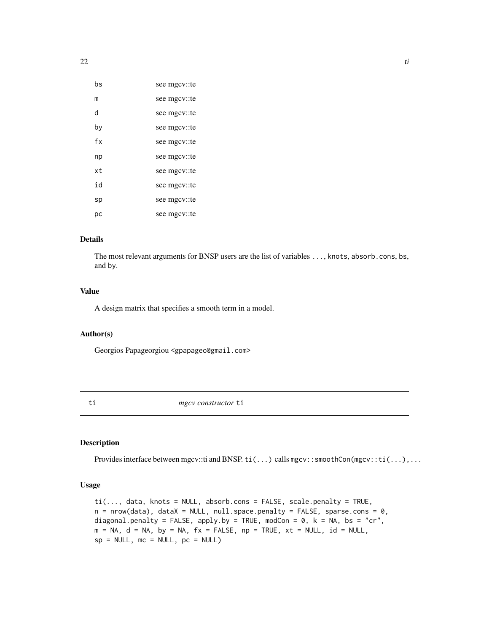<span id="page-21-0"></span>

| bs  | see mgcv::te |
|-----|--------------|
| m   | see mgcy::te |
| d   | see mgcv::te |
| by  | see mgcv::te |
| fx  | see mgcv::te |
| np  | see mgcy::te |
| xt. | see mgcy::te |
| i d | see mgcv::te |
| sp  | see mgcv::te |
| рc  | see mgcy::te |

# Details

The most relevant arguments for BNSP users are the list of variables ..., knots, absorb.cons, bs, and by.

# Value

A design matrix that specifies a smooth term in a model.

# Author(s)

Georgios Papageorgiou <gpapageo@gmail.com>

ti *mgcv constructor* ti

# Description

Provides interface between mgcv::ti and BNSP. ti(...) calls mgcv::smoothCon(mgcv::ti(...),...

#### Usage

```
ti(..., data, knots = NULL, absorb.cons = FALSE, scale.penalty = TRUE,
n = nrow(data), dataX = NULL, null.space.penalty = FALSE, sparse.cons = 0,
diagonal.penalty = FALSE, apply.by = TRUE, modCon = 0, k = NA, bs = "cr",
m = NA, d = NA, by = NA, fx = FALSE, np = TRUE, xt = NULL, id = NULL,
sp = NULL, mc = NULL, pc = NULL)
```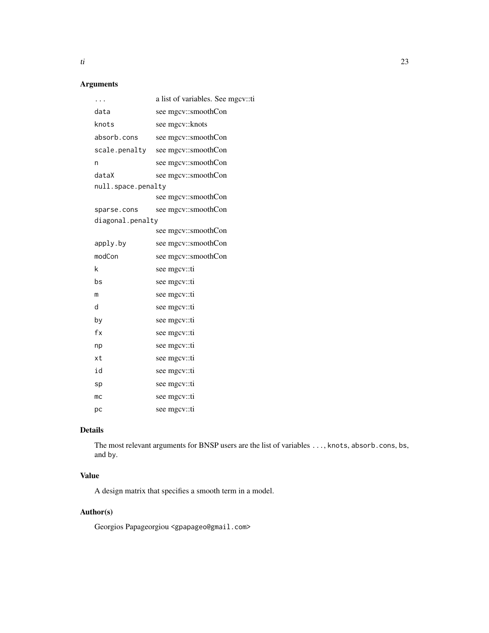# Arguments

| .                  | a list of variables. See mgcv::ti |
|--------------------|-----------------------------------|
| data               | see mgcv::smoothCon               |
| knots              | see mgcv::knots                   |
| absorb.cons        | see mgcv::smoothCon               |
| scale.penalty      | see mgcv::smoothCon               |
| n                  | see mgcv::smoothCon               |
| dataX              | see mgcv::smoothCon               |
| null.space.penalty |                                   |
|                    | see mgcv::smoothCon               |
| sparse.cons        | see mgcv::smoothCon               |
| diagonal.penalty   |                                   |
|                    | see mgcv::smoothCon               |
| apply.by           | see mgcv::smoothCon               |
| modCon             | see mgcv::smoothCon               |
| k                  | see mgcv::ti                      |
| bs                 | see mgcv::ti                      |
| m                  | see mgcv::ti                      |
| d                  | see mgcv::ti                      |
| by                 | see mgcv::ti                      |
| fx                 | see mgcy::ti                      |
| np                 | see mgcy::ti                      |
| xt                 | see mgcv::ti                      |
| id                 | see mgcv::ti                      |
| sp                 | see mgcv::ti                      |
| mc                 | see mgcv::ti                      |
| pc                 | see mgcv::ti                      |

# Details

The most relevant arguments for BNSP users are the list of variables ..., knots, absorb.cons, bs, and by.

# Value

A design matrix that specifies a smooth term in a model.

# Author(s)

Georgios Papageorgiou <gpapageo@gmail.com>